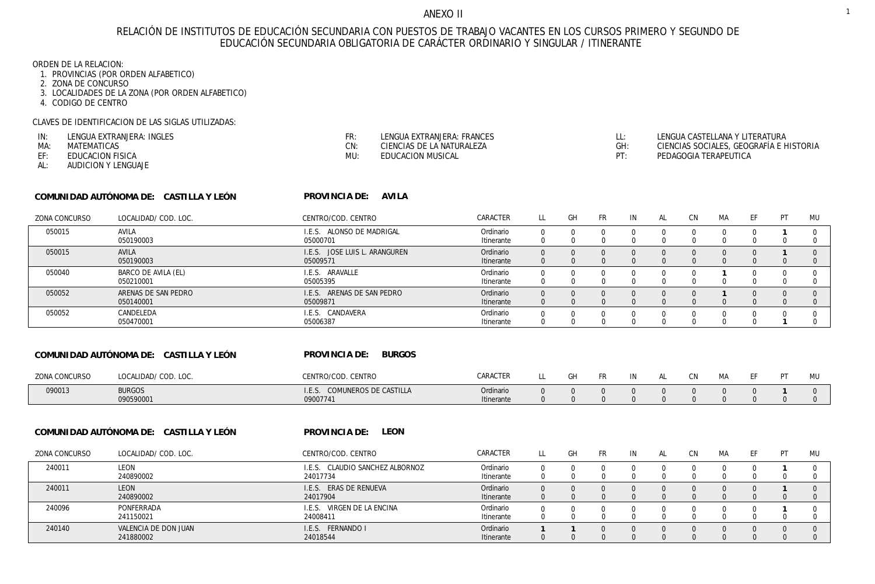## ANEXO II

# RELACIÓN DE INSTITUTOS DE EDUCACIÓN SECUNDARIA CON PUESTOS DE TRABAJO VACANTES EN LOS CURSOS PRIMERO Y SEGUNDO DE EDUCACIÓN SECUNDARIA OBLIGATORIA DE CARÁCTER ORDINARIO Y SINGULAR / ITINERANTE

ORDEN DE LA RELACION:

- 1. PROVINCIAS (POR ORDEN ALFABETICO)
- 2. ZONA DE CONCURSO
- 3. LOCALIDADES DE LA ZONA (POR ORDEN ALFABETICO)
- 4. CODIGO DE CENTRO

CLAVES DE IDENTIFICACION DE LAS SIGLAS UTILIZADAS:

| IN- | LENGUA EXTRANJERA: INGLES | CD.<br>- 11 | LENGUA EXTRANJERA: FRANCES | LENGUA CASTELLANA Y LITERATURA          |
|-----|---------------------------|-------------|----------------------------|-----------------------------------------|
| MA  | MATEMATICAS               | CN:         | CIENCIAS DE LA NATURALEZA  | CIENCIAS SOCIALES, GEOGRAFÍA E HISTORIA |
|     | EDHCACION FISICA          | MU:         | CACION MUSICAL             | PEDAGOGIA TERAPEUTICA                   |

AUDICION Y LENGUAJE AL:

| COMUNIDAD AUTÓNOMA DE: | CASTILLA Y LEÓN |
|------------------------|-----------------|
|------------------------|-----------------|

**AVILA PROVINCIA DE:** 

| <b>ZONA CONCURSO</b> | LOCALIDAD/ COD. LOC.             | CENTRO/COD. CENTRO                           | CARACTER                |          | GH | <b>FR</b> | IN | CN. | МA | PT | MU |
|----------------------|----------------------------------|----------------------------------------------|-------------------------|----------|----|-----------|----|-----|----|----|----|
| 050015               | AVILA<br>050190003               | ALONSO DE MADRIGAL<br>I.F.S.<br>05000701     | Ordinario<br>Itinerante |          |    |           |    |     |    |    |    |
| 050015               | <b>AVILA</b><br>050190003        | JOSE LUIS L. ARANGUREN<br>I.E.S.<br>05009571 | Ordinario<br>Itinerante | $\Omega$ |    |           |    |     |    |    |    |
| 050040               | BARCO DE AVILA (EL)<br>050210001 | ARAVALLE<br>I.F.S.<br>05005395               | Ordinario<br>Itinerante |          |    |           |    |     |    |    |    |
| 050052               | ARENAS DE SAN PEDRO<br>050140001 | ARENAS DE SAN PEDRO<br>LE.S.<br>05009871     | Ordinario<br>Itinerante | $\Omega$ |    |           |    |     |    |    |    |
| 050052               | CANDELEDA<br>050470001           | CANDAVERA<br>I.F.S.<br>05006387              | Ordinario<br>Itinerante |          |    |           |    |     |    |    |    |

| COMUNIDAD AUTÓNOMA DE: CASTILLA Y LEÓN |                            | <b>BURGOS</b><br>PROVINCIA DE:              |                         |     |     |    |           |  |    |
|----------------------------------------|----------------------------|---------------------------------------------|-------------------------|-----|-----|----|-----------|--|----|
| ZONA CONCURSO                          | LOCALIDAD/ COD. LOC.       | CENTRO/COD. CENTRO                          | CARACTER                | GH. | FR. | IN | <b>CN</b> |  | MU |
| 090013                                 | <b>BURGOS</b><br>090590001 | COMUNEROS DE CASTILLA<br>I.F.S.<br>09007741 | Ordinario<br>Itinerante |     |     |    |           |  |    |

**LEON PROVINCIA DE:**  24017734 24017904 24008411 24018544 LL GH FR IN AL CN MA EF PT MU **COMUNIDAD AUTÓNOMA DE: CASTILLA Y LEÓN** CENTRO/COD. CENTRO LEON LEON PONFERRADA VALENCIA DE DON JUAN LOCALIDAD/ COD. LOC. ZONA CONCURSO 0 0 0 0 0 0 0 0 **1** 0 0 0 0 0 0 0 0 0 **1** 0 0 0 0 0 0 0 0 0 **1** 0 **1 1** 0 0 0 0 0 0 0 0 240011 240011 240096 240140 240890002 240890002 241150021 241880002 I.E.S. CLAUDIO SANCHEZ ALBORNOZ I.E.S. ERAS DE RENUEVA I.E.S. VIRGEN DE LA ENCINA I.E.S. FERNANDO I CARACTER Ordinario Ordinario Ordinario Ordinario Itinerante Itinerante Itinerante Itinerante 0 0 0 0 0 0 0 0 0 0 0 0 0 0 0 0 0 0 0 0 0 0 0 0 0 0 0 0 0 0 0 0 0 0 0 0 0 0 0 0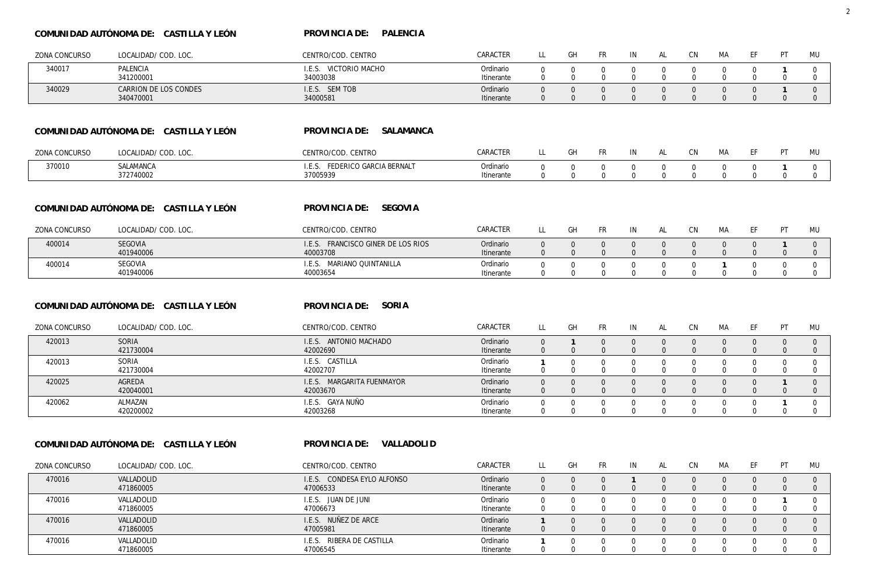### **COMUNIDAD AUTÓNOMA DE: CASTILLA Y LEÓN**

**PALENCIA PROVINCIA DE:** 

| ZONA CONCURSO | LOCALIDAD/ COD. LOC.                                           | CENTRO/COD. CENTRO                           | CARACTER   | LL             | GH             | <b>FR</b>    | IN             | <b>AL</b>    | <b>CN</b>      | <b>MA</b>      | EF             | PT             | MU             |
|---------------|----------------------------------------------------------------|----------------------------------------------|------------|----------------|----------------|--------------|----------------|--------------|----------------|----------------|----------------|----------------|----------------|
| 340017        | PALENCIA                                                       | I.E.S. VICTORIO MACHO                        | Ordinario  | $\Omega$       | $\Omega$       | $\Omega$     | $\mathbf 0$    | $\Omega$     | $\Omega$       | $\Omega$       | $\mathbf 0$    | -1             | 0              |
|               | 341200001                                                      | 34003038                                     | Itinerante | 0              | $\mathbf 0$    | $\mathbf 0$  | $\overline{0}$ | $\mathbf 0$  | $\mathbf{0}$   | $\overline{0}$ | $\mathbf 0$    | $\mathbf 0$    | $\overline{0}$ |
| 340029        | CARRION DE LOS CONDES                                          | I.E.S. SEM TOB                               | Ordinario  | $\Omega$       | $\mathbf{0}$   | $\Omega$     | $\mathbf 0$    | $\Omega$     | $\overline{0}$ | $\mathbf{0}$   | $\mathbf 0$    | $\mathbf{1}$   | $\mathbf 0$    |
|               | 340470001                                                      | 34000581                                     | Itinerante | $\overline{0}$ | $\mathbf{0}$   | $\mathbf{0}$ | $\overline{0}$ | $\mathbf{0}$ | $\mathbf{0}$   | $\mathbf{0}$   | $\mathbf{0}$   | $\mathbf{0}$   | $\mathbf 0$    |
|               | COMUNIDAD AUTÓNOMA DE: CASTILLA Y LEÓN                         | SALAMANCA<br>PROVINCIA DE:                   |            |                |                |              |                |              |                |                |                |                |                |
| ZONA CONCURSO | LOCALIDAD/ COD. LOC.                                           | CENTRO/COD. CENTRO                           | CARACTER   | LL             | GH             | <b>FR</b>    | IN             | AL           | <b>CN</b>      | МA             | EF             | PT             | MU             |
| 370010        | SALAMANCA                                                      | I.E.S. FEDERICO GARCIA BERNALT               | Ordinario  | $\mathbf 0$    | $\mathbf 0$    | $\mathbf 0$  | $\mathbf 0$    | $\mathbf{0}$ | $\mathbf 0$    | $\mathbf{0}$   | $\mathbf 0$    | $\mathbf{1}$   | $\mathbf 0$    |
|               | 372740002                                                      | 37005939                                     | Itinerante | $\mathbf{0}$   | $\mathbf{0}$   | $\mathbf 0$  | $\mathbf{0}$   | $\mathbf{0}$ | $\mathbf 0$    | $\mathbf{0}$   | $\mathbf 0$    | $\mathbf{0}$   | $\mathbf{0}$   |
|               | COMUNIDAD AUTÓNOMA DE: CASTILLA Y LEÓN                         | SEGOVIA<br>PROVINCIA DE:                     |            |                |                |              |                |              |                |                |                |                |                |
| ZONA CONCURSO | LOCALIDAD/ COD. LOC.                                           | CENTRO/COD. CENTRO                           | CARACTER   | LL             | GH             | <b>FR</b>    | IN             | <b>AL</b>    | <b>CN</b>      | <b>MA</b>      | EF             | PT             | <b>MU</b>      |
| 400014        | SEGOVIA                                                        | I.E.S. FRANCISCO GINER DE LOS RIOS           | Ordinario  | 0              | $\mathbf{0}$   | $\Omega$     | $\mathbf 0$    | $\mathbf{0}$ | $\mathbf 0$    | $\mathbf{0}$   | $\overline{0}$ | $\overline{1}$ | $\mathbf 0$    |
|               | 401940006                                                      | 40003708                                     | Itinerante | $\mathbf 0$    | $\mathbf{0}$   | $\mathbf 0$  | $\mathbf 0$    | $\mathbf{0}$ | $\mathbf 0$    | $\mathbf 0$    | $\mathbf{0}$   | $\mathbf 0$    | $\mathbf 0$    |
| 400014        | SEGOVIA                                                        | I.E.S. MARIANO QUINTANILLA                   | Ordinario  | 0              | $\mathbf 0$    | $\mathbf 0$  | $\mathbf 0$    | $\mathbf 0$  | $\mathbf 0$    | -1             | $\overline{0}$ | $\mathbf 0$    | $\mathbf 0$    |
|               | 401940006                                                      | 40003654                                     | Itinerante | 0              | $\Omega$       | $\mathbf 0$  | $\mathbf{0}$   | $\Omega$     | $\mathbf 0$    | $\mathbf 0$    | $\mathbf 0$    | $\mathbf 0$    | $\overline{0}$ |
| ZONA CONCURSO | COMUNIDAD AUTÓNOMA DE: CASTILLA Y LEÓN<br>LOCALIDAD/ COD. LOC. | PROVINCIA DE:<br>SORIA<br>CENTRO/COD. CENTRO | CARACTER   | LL.            | GH             | <b>FR</b>    | IN             | AL           | <b>CN</b>      | МA             | EF             | PT             | MU             |
| 420013        | SORIA                                                          | I.E.S. ANTONIO MACHADO                       | Ordinario  | $\mathbf{0}$   | $\overline{1}$ | $\Omega$     | $\mathbf{0}$   | $\Omega$     | $\mathbf{0}$   | $\mathbf{0}$   | $\mathbf 0$    | $\mathbf{0}$   | $\mathbf{0}$   |
|               | 421730004                                                      | 42002690                                     | Itinerante | $\mathbf{0}$   | $\mathbf{0}$   | $\mathbf{0}$ | $\mathbf{0}$   | $\mathbf{0}$ | $\mathbf{0}$   | $\mathbf{0}$   | $\overline{0}$ | $\mathbf{0}$   | $\mathbf{0}$   |
| 420013        | SORIA                                                          | I.E.S. CASTILLA                              | Ordinario  | $\mathbf{1}$   | $\Omega$       | $\Omega$     | $\Omega$       | $\Omega$     | $\mathbf 0$    | $\Omega$       | $\mathbf 0$    | $\Omega$       | $\Omega$       |
|               | 421730004                                                      | 42002707                                     | Itinerante | 0              | 0              | 0            | $\mathbf 0$    | $\Omega$     | $\Omega$       | $\mathbf 0$    | $\mathbf 0$    | 0              | 0              |
| 420025        | AGREDA                                                         | I.E.S. MARGARITA FUENMAYOR                   | Ordinario  | $\Omega$       | $\Omega$       | $\Omega$     | $\mathbf{0}$   | $\Omega$     | $\Omega$       | $\Omega$       | $\Omega$       | $\mathbf{1}$   | $\Omega$       |
|               | 420040001                                                      | 42003670                                     | Itinerante | $\mathbf 0$    | $\Omega$       | $\mathbf 0$  | $\mathbf 0$    | $\Omega$     | $\Omega$       | $\mathbf 0$    | $\overline{0}$ | $\mathbf 0$    | $\mathbf 0$    |
| 420062        | ALMAZAN                                                        | I.E.S. GAYA NUÑO                             | Ordinario  | $\Omega$       | $\Omega$       | $\Omega$     | $\mathbf 0$    | $\Omega$     | $\mathbf 0$    | $\Omega$       | $\mathbf 0$    | $\mathbf{1}$   | $\mathbf 0$    |
|               | 420200002                                                      | 42003268                                     | Itinerante | 0              | 0              | $\mathbf 0$  | 0              | $\mathbf 0$  | $\mathbf 0$    | $\mathbf 0$    | $\mathbf 0$    | 0              | 0              |
|               | COMUNIDAD AUTÓNOMA DE: CASTILLA Y LEÓN                         | VALLADOLID<br>PROVINCIA DE:                  |            |                |                |              |                |              |                |                |                |                |                |
| ZONA CONCURSO | LOCALIDAD/ COD. LOC.                                           | CENTRO/COD. CENTRO                           | CARACTER   | LL             | GH             | <b>FR</b>    | IN             | AL           | <b>CN</b>      | МA             | EF             | PT             | MU             |
| 470016        | VALLADOLID                                                     | I.E.S. CONDESA EYLO ALFONSO                  | Ordinario  | $\overline{0}$ | $\mathbf{0}$   | $\mathbf{0}$ | $\mathbf{1}$   | $\mathbf{0}$ | $\mathbf 0$    | $\mathbf{0}$   | $\mathbf 0$    | $\mathbf 0$    | $\mathbf{0}$   |
|               | 471860005                                                      | 47006533                                     | Itinerante | $\mathbf{0}$   | $\mathbf{0}$   | $\Omega$     | $\mathbf 0$    | $\mathbf{0}$ | $\mathbf{0}$   | $\mathbf{0}$   | $\Omega$       | $\mathbf 0$    | $\mathbf 0$    |
| 470016        | VALLADOLID                                                     | I.E.S. JUAN DE JUNI                          | Ordinario  | $\mathbf 0$    | $\mathbf{0}$   | $\mathbf 0$  | $\mathbf 0$    | $\mathbf{0}$ | $\mathbf 0$    | $\mathbf{0}$   | $\mathbf 0$    | $\mathbf{1}$   | $\mathbf{0}$   |
|               | 471860005                                                      | 47006673                                     | Itinerante | 0              | $\Omega$       | $\mathbf 0$  | 0              | 0            | $\Omega$       | $\mathbf 0$    | $\overline{0}$ | $\mathbf 0$    | 0              |
| 470016        | VALLADOLID                                                     | I.E.S. NUÑEZ DE ARCE                         | Ordinario  | $\mathbf{1}$   | $\mathbf{0}$   | $\mathbf{0}$ | $\mathbf{0}$   | $\mathbf{0}$ | $\mathbf{0}$   | $\mathbf{0}$   | $\mathbf 0$    | $\mathbf{0}$   | $\mathbf{0}$   |
|               | 471860005                                                      | 47005981                                     | Itinerante | $\mathbf{0}$   | $\Omega$       | $\Omega$     | $\mathbf{0}$   | $\Omega$     | $\Omega$       | $\Omega$       | $\overline{0}$ | $\mathbf{0}$   | $\mathbf{0}$   |
| 470016        | VALLADOLID                                                     | I.E.S. RIBERA DE CASTILLA                    | Ordinario  | $\mathbf{1}$   | $\mathbf 0$    | $\mathbf 0$  | $\mathbf 0$    | $\mathbf{0}$ | $\mathbf 0$    | $\Omega$       | $\mathbf 0$    | $\mathbf 0$    | $\mathbf 0$    |
|               | 471860005                                                      | 47006545                                     | Itinerante | $\mathbf 0$    | $\Omega$       | $\Omega$     | $\Omega$       | $\Omega$     | $\Omega$       | $\Omega$       | $\Omega$       | $\Omega$       | $\mathbf 0$    |